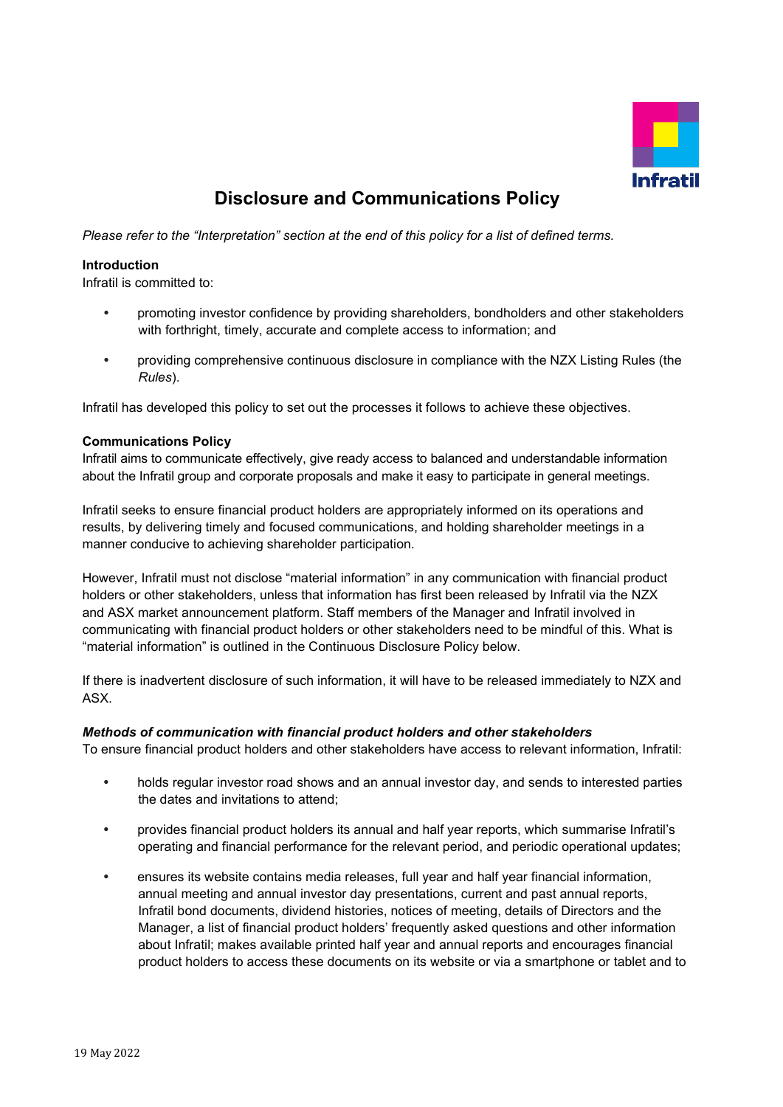

# **Disclosure and Communications Policy**

*Please refer to the "Interpretation" section at the end of this policy for a list of defined terms.*

#### **Introduction**

Infratil is committed to:

- promoting investor confidence by providing shareholders, bondholders and other stakeholders with forthright, timely, accurate and complete access to information; and
- providing comprehensive continuous disclosure in compliance with the NZX Listing Rules (the *Rules*).

Infratil has developed this policy to set out the processes it follows to achieve these objectives.

#### **Communications Policy**

Infratil aims to communicate effectively, give ready access to balanced and understandable information about the Infratil group and corporate proposals and make it easy to participate in general meetings.

Infratil seeks to ensure financial product holders are appropriately informed on its operations and results, by delivering timely and focused communications, and holding shareholder meetings in a manner conducive to achieving shareholder participation.

However, Infratil must not disclose "material information" in any communication with financial product holders or other stakeholders, unless that information has first been released by Infratil via the NZX and ASX market announcement platform. Staff members of the Manager and Infratil involved in communicating with financial product holders or other stakeholders need to be mindful of this. What is "material information" is outlined in the Continuous Disclosure Policy below.

If there is inadvertent disclosure of such information, it will have to be released immediately to NZX and ASX.

#### *Methods of communication with financial product holders and other stakeholders*

To ensure financial product holders and other stakeholders have access to relevant information, Infratil:

- holds regular investor road shows and an annual investor day, and sends to interested parties the dates and invitations to attend;
- provides financial product holders its annual and half year reports, which summarise Infratil's operating and financial performance for the relevant period, and periodic operational updates;
- ensures its website contains media releases, full year and half year financial information, annual meeting and annual investor day presentations, current and past annual reports, Infratil bond documents, dividend histories, notices of meeting, details of Directors and the Manager, a list of financial product holders' frequently asked questions and other information about Infratil; makes available printed half year and annual reports and encourages financial product holders to access these documents on its website or via a smartphone or tablet and to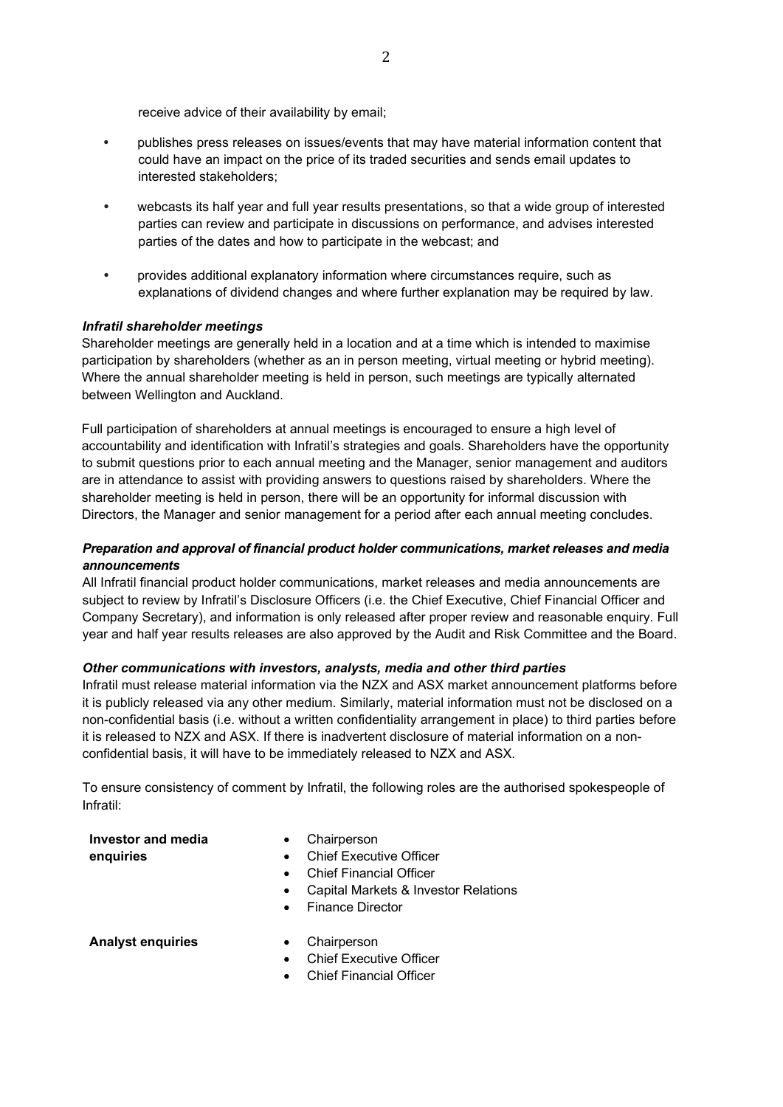receive advice of their availability by email;

- publishes press releases on issues/events that may have material information content that could have an impact on the price of its traded securities and sends email updates to interested stakeholders;
- webcasts its half year and full year results presentations, so that a wide group of interested parties can review and participate in discussions on performance, and advises interested parties of the dates and how to participate in the webcast; and
- provides additional explanatory information where circumstances require, such as explanations of dividend changes and where further explanation may be required by law.

#### *Infratil shareholder meetings*

Shareholder meetings are generally held in a location and at a time which is intended to maximise participation by shareholders (whether as an in person meeting, virtual meeting or hybrid meeting). Where the annual shareholder meeting is held in person, such meetings are typically alternated between Wellington and Auckland.

Full participation of shareholders at annual meetings is encouraged to ensure a high level of accountability and identification with Infratil's strategies and goals. Shareholders have the opportunity to submit questions prior to each annual meeting and the Manager, senior management and auditors are in attendance to assist with providing answers to questions raised by shareholders. Where the shareholder meeting is held in person, there will be an opportunity for informal discussion with Directors, the Manager and senior management for a period after each annual meeting concludes.

## *Preparation and approval of financial product holder communications, market releases and media announcements*

All Infratil financial product holder communications, market releases and media announcements are subject to review by Infratil's Disclosure Officers (i.e. the Chief Executive, Chief Financial Officer and Company Secretary), and information is only released after proper review and reasonable enquiry. Full year and half year results releases are also approved by the Audit and Risk Committee and the Board.

## *Other communications with investors, analysts, media and other third parties*

Infratil must release material information via the NZX and ASX market announcement platforms before it is publicly released via any other medium. Similarly, material information must not be disclosed on a non-confidential basis (i.e. without a written confidentiality arrangement in place) to third parties before it is released to NZX and ASX. If there is inadvertent disclosure of material information on a nonconfidential basis, it will have to be immediately released to NZX and ASX.

To ensure consistency of comment by Infratil, the following roles are the authorised spokespeople of Infratil:

## **Investor and media**

• Chairperson

**enquiries**

- Chief Executive Officer
- 
- Chief Financial Officer
- Capital Markets & Investor Relations
- Finance Director

**Analyst enquiries** • Chairperson

- 
- **Chief Executive Officer**
- Chief Financial Officer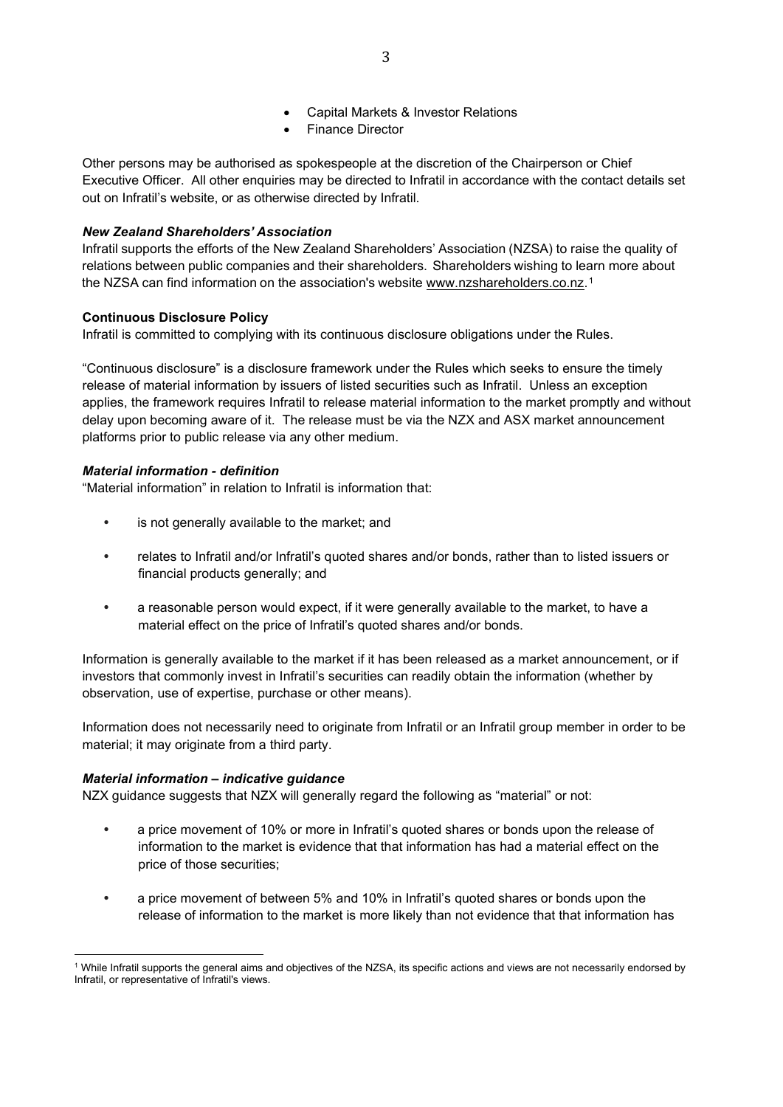- Capital Markets & Investor Relations
- Finance Director

Other persons may be authorised as spokespeople at the discretion of the Chairperson or Chief Executive Officer. All other enquiries may be directed to Infratil in accordance with the contact details set out on Infratil's website, or as otherwise directed by Infratil.

## *New Zealand Shareholders' Association*

Infratil supports the efforts of the New Zealand Shareholders' Association (NZSA) to raise the quality of relations between public companies and their shareholders. Shareholders wishing to learn more about the NZSA can find information on the association's website [www.nzshareholders.co.nz.](file:///C:%5CUsers%5CKelleeC%5CAppData%5CLocal%5CMicrosoft%5CWindows%5CTemporary%20Internet%20Files%5CContent.Outlook%5CAppData%5CLocal%5CMicrosoft%5CWindows%5CTemporary%20Internet%20Files%5CContent.Outlook%5CAppData%5CLocal%5CMicrosoft%5CWindows%5CTemporary%20Internet%20Files%5CContent.Outlook%5CAppData%5CLocal%5CMicrosoft%5CWindows%5CTemporary%20Internet%20Files%5CContent.Outlook%5CAppData%5CLocal%5CMicrosoft%5CWindows%5CTemporary%20Internet%20Files%5CContent.Outlook%5CAppData%5CLocal%5CMicrosoft%5CWindows%5CTemporary%20Internet%20Files%5CContent.Outlook%5CAppData%5CLocal%5CMicrosoft%5CWindows%5CTemporary%20Internet%20Files%5CContent.Outlook%5CCGFCIVNR%5Cwww.nzshareholders.co.nz)[1](#page-2-0)

## **Continuous Disclosure Policy**

Infratil is committed to complying with its continuous disclosure obligations under the Rules.

"Continuous disclosure" is a disclosure framework under the Rules which seeks to ensure the timely release of material information by issuers of listed securities such as Infratil. Unless an exception applies, the framework requires Infratil to release material information to the market promptly and without delay upon becoming aware of it. The release must be via the NZX and ASX market announcement platforms prior to public release via any other medium.

## *Material information - definition*

"Material information" in relation to Infratil is information that:

- is not generally available to the market; and
- relates to Infratil and/or Infratil's quoted shares and/or bonds, rather than to listed issuers or financial products generally; and
- a reasonable person would expect, if it were generally available to the market, to have a material effect on the price of Infratil's quoted shares and/or bonds.

Information is generally available to the market if it has been released as a market announcement, or if investors that commonly invest in Infratil's securities can readily obtain the information (whether by observation, use of expertise, purchase or other means).

Information does not necessarily need to originate from Infratil or an Infratil group member in order to be material; it may originate from a third party.

## *Material information – indicative guidance*

NZX guidance suggests that NZX will generally regard the following as "material" or not:

- a price movement of 10% or more in Infratil's quoted shares or bonds upon the release of information to the market is evidence that that information has had a material effect on the price of those securities;
- a price movement of between 5% and 10% in Infratil's quoted shares or bonds upon the release of information to the market is more likely than not evidence that that information has

<span id="page-2-0"></span><sup>1</sup> While Infratil supports the general aims and objectives of the NZSA, its specific actions and views are not necessarily endorsed by Infratil, or representative of Infratil's views.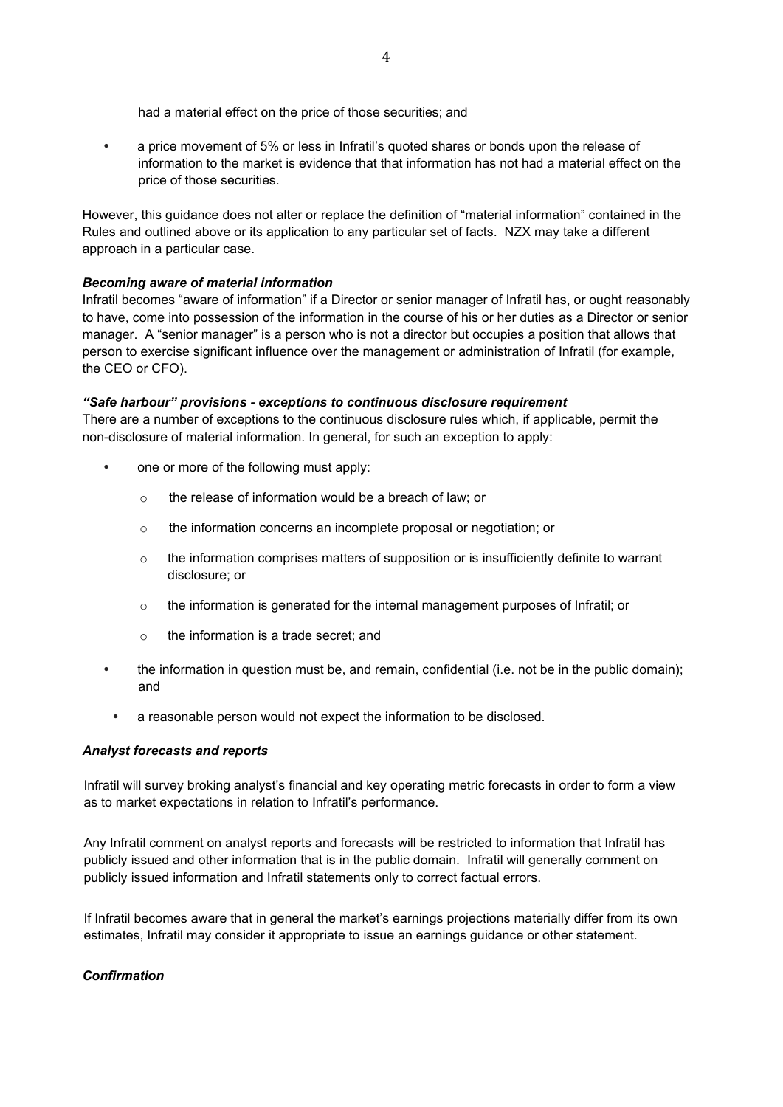had a material effect on the price of those securities; and

• a price movement of 5% or less in Infratil's quoted shares or bonds upon the release of information to the market is evidence that that information has not had a material effect on the price of those securities.

However, this guidance does not alter or replace the definition of "material information" contained in the Rules and outlined above or its application to any particular set of facts. NZX may take a different approach in a particular case.

## *Becoming aware of material information*

Infratil becomes "aware of information" if a Director or senior manager of Infratil has, or ought reasonably to have, come into possession of the information in the course of his or her duties as a Director or senior manager. A "senior manager" is a person who is not a director but occupies a position that allows that person to exercise significant influence over the management or administration of Infratil (for example, the CEO or CFO).

#### *"Safe harbour" provisions - exceptions to continuous disclosure requirement*

There are a number of exceptions to the continuous disclosure rules which, if applicable, permit the non-disclosure of material information. In general, for such an exception to apply:

- one or more of the following must apply:
	- o the release of information would be a breach of law; or
	- o the information concerns an incomplete proposal or negotiation; or
	- $\circ$  the information comprises matters of supposition or is insufficiently definite to warrant disclosure; or
	- $\circ$  the information is generated for the internal management purposes of Infratil; or
	- o the information is a trade secret; and
- the information in question must be, and remain, confidential (i.e. not be in the public domain); and
	- a reasonable person would not expect the information to be disclosed.

#### *Analyst forecasts and reports*

Infratil will survey broking analyst's financial and key operating metric forecasts in order to form a view as to market expectations in relation to Infratil's performance.

Any Infratil comment on analyst reports and forecasts will be restricted to information that Infratil has publicly issued and other information that is in the public domain. Infratil will generally comment on publicly issued information and Infratil statements only to correct factual errors.

If Infratil becomes aware that in general the market's earnings projections materially differ from its own estimates, Infratil may consider it appropriate to issue an earnings guidance or other statement.

## *Confirmation*